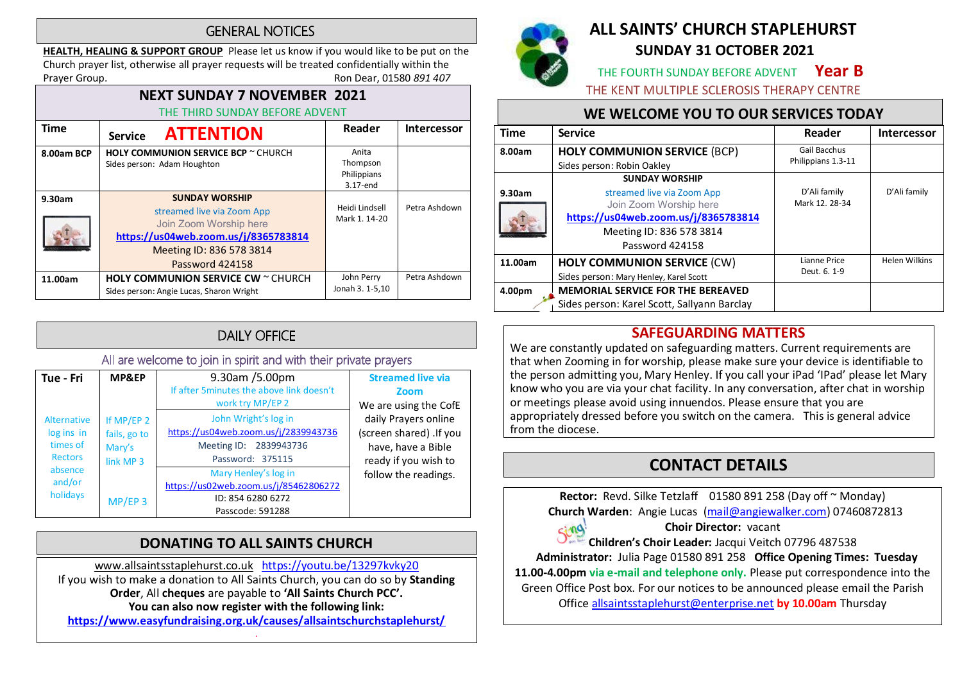### **GENERAL NOTICES**

HEALTH, HEALING & SUPPORT GROUP Please let us know if you would like to be put on the Church prayer list, otherwise all prayer requests will be treated confidentially within the Prayer Group. **Ron Dear, 01580 891 407** 

| <b>NEXT SUNDAY 7 NOVEMBER 2021</b><br>THE THIRD SUNDAY BEFORE ADVENT |                                                                                                                                                                      |                                              |                    |  |
|----------------------------------------------------------------------|----------------------------------------------------------------------------------------------------------------------------------------------------------------------|----------------------------------------------|--------------------|--|
| <b>Time</b>                                                          | <b>ATTENTION</b><br><b>Service</b>                                                                                                                                   | Reader                                       | <b>Intercessor</b> |  |
| 8.00am BCP                                                           | <b>HOLY COMMUNION SERVICE BCP</b> ~ CHURCH<br>Sides person: Adam Houghton                                                                                            | Anita<br>Thompson<br>Philippians<br>3.17-end |                    |  |
| 9.30am                                                               | <b>SUNDAY WORSHIP</b><br>streamed live via Zoom App<br>Join Zoom Worship here<br>https://us04web.zoom.us/j/8365783814<br>Meeting ID: 836 578 3814<br>Password 424158 | Heidi Lindsell<br>Mark 1, 14-20              | Petra Ashdown      |  |
| 11.00am                                                              | <b>HOLY COMMUNION SERVICE CW ~ CHURCH</b><br>Sides person: Angie Lucas, Sharon Wright                                                                                | John Perry<br>Jonah 3. 1-5,10                | Petra Ashdown      |  |

# **DAILY OFFICE**

All are welcome to join in spirit and with their private prayers

| Tue - Fri      | MP&EP                | 9.30am /5.00pm<br>If after 5 minutes the above link doesn't | <b>Streamed live via</b><br>Zoom |
|----------------|----------------------|-------------------------------------------------------------|----------------------------------|
|                |                      | work try MP/EP 2                                            | We are using the CofE            |
| Alternative    | If $MP/EP$ 2         | John Wright's log in                                        | daily Prayers online             |
| log ins in     | fails, go to         | https://us04web.zoom.us/j/2839943736                        | (screen shared) .If you          |
| times of       | Mary's               | Meeting ID: 2839943736                                      | have, have a Bible               |
| <b>Rectors</b> | link MP <sub>3</sub> | Password: 375115                                            | ready if you wish to             |
| absence        |                      | Mary Henley's log in                                        | follow the readings.             |
| and/or         |                      | https://us02web.zoom.us/j/85462806272                       |                                  |
| holidays       | $MP/EP$ 3            | ID: 854 6280 6272                                           |                                  |
|                |                      | Passcode: 591288                                            |                                  |

# DONATING TO ALL SAINTS CHURCH

www.allsaintsstaplehurst.co.uk https://youtu.be/13297kvky20 If you wish to make a donation to All Saints Church, you can do so by Standing Order, All cheques are payable to 'All Saints Church PCC'. You can also now register with the following link:

https://www.easyfundraising.org.uk/causes/allsaintschurchstaplehurst/ .



# ALL SAINTS' CHURCH STAPLEHURST SUNDAY 31 OCTOBER 2021

THE FOURTH SUNDAY BEFORE ADVENT Year B

THE KENT MULTIPLE SCLEROSIS THERAPY CENTRE

# WE WELCOME YOU TO OUR SERVICES TODAY

| Time    | <b>Service</b>                                                                                                                              | Reader                             | <b>Intercessor</b>   |
|---------|---------------------------------------------------------------------------------------------------------------------------------------------|------------------------------------|----------------------|
| 8.00am  | <b>HOLY COMMUNION SERVICE (BCP)</b><br>Sides person: Robin Oakley                                                                           | Gail Bacchus<br>Philippians 1.3-11 |                      |
|         | <b>SUNDAY WORSHIP</b>                                                                                                                       |                                    |                      |
| 9.30am  | streamed live via Zoom App<br>Join Zoom Worship here<br>https://us04web.zoom.us/j/8365783814<br>Meeting ID: 836 578 3814<br>Password 424158 | D'Ali family<br>Mark 12, 28-34     | D'Ali family         |
| 11.00am | <b>HOLY COMMUNION SERVICE (CW)</b>                                                                                                          | Lianne Price                       | <b>Helen Wilkins</b> |
|         | Sides person: Mary Henley, Karel Scott                                                                                                      | Deut. 6. 1-9                       |                      |
| 4.00pm  | <b>MEMORIAL SERVICE FOR THE BEREAVED</b>                                                                                                    |                                    |                      |
|         | Sides person: Karel Scott, Sallyann Barclay                                                                                                 |                                    |                      |

# SAFEGUARDING MATTERS

We are constantly updated on safeguarding matters. Current requirements are that when Zooming in for worship, please make sure your device is identifiable to the person admitting you, Mary Henley. If you call your iPad 'IPad' please let Mary know who you are via your chat facility. In any conversation, after chat in worship or meetings please avoid using innuendos. Please ensure that you are appropriately dressed before you switch on the camera. This is general advice from the diocese.

# CONTACT DETAILS

Rector: Revd. Silke Tetzlaff 01580 891 258 (Day off ~ Monday) Church Warden: Angie Lucas (mail@angiewalker.com) 07460872813

Choir Director: vacant

**Children's Choir Leader:** Jacqui Veitch 07796 487538

Administrator: Julia Page 01580 891 258 Office Opening Times: Tuesday

11.00-4.00pm via e-mail and telephone only. Please put correspondence into the Green Office Post box. For our notices to be announced please email the Parish

Office allsaintsstaplehurst@enterprise.net by 10.00am Thursday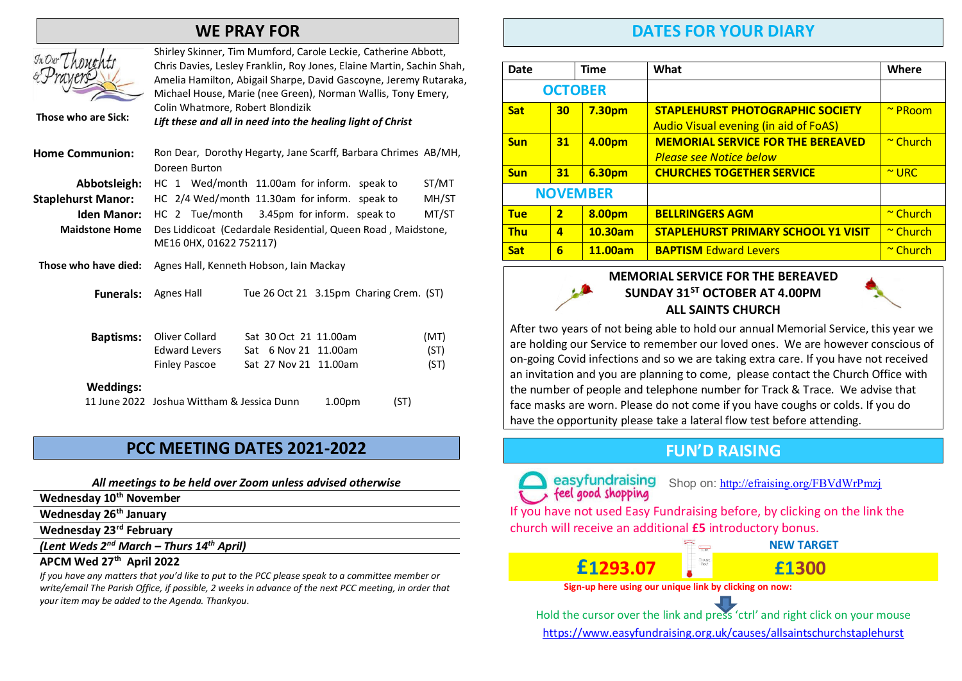### WE PRAY FOR

| Those who are Sick:       | Shirley Skinner, Tim Mumford, Carole Leckie, Catherine Abbott,<br>Chris Davies, Lesley Franklin, Roy Jones, Elaine Martin, Sachin Shah,<br>Amelia Hamilton, Abigail Sharpe, David Gascoyne, Jeremy Rutaraka,<br>Michael House, Marie (nee Green), Norman Wallis, Tony Emery,<br>Colin Whatmore, Robert Blondizik<br>Lift these and all in need into the healing light of Christ |                                                                        |                                         |                      |  |
|---------------------------|---------------------------------------------------------------------------------------------------------------------------------------------------------------------------------------------------------------------------------------------------------------------------------------------------------------------------------------------------------------------------------|------------------------------------------------------------------------|-----------------------------------------|----------------------|--|
| <b>Home Communion:</b>    | Ron Dear, Dorothy Hegarty, Jane Scarff, Barbara Chrimes AB/MH,<br>Doreen Burton                                                                                                                                                                                                                                                                                                 |                                                                        |                                         |                      |  |
| Abbotsleigh:              | HC 1 Wed/month 11.00am for inform. speak to                                                                                                                                                                                                                                                                                                                                     |                                                                        |                                         | ST/MT                |  |
| <b>Staplehurst Manor:</b> | HC 2/4 Wed/month 11.30am for inform. speak to                                                                                                                                                                                                                                                                                                                                   |                                                                        |                                         | MH/ST                |  |
| Iden Manor:               | HC 2 Tue/month 3.45pm for inform. speak to                                                                                                                                                                                                                                                                                                                                      |                                                                        |                                         | MT/ST                |  |
| <b>Maidstone Home</b>     | Des Liddicoat (Cedardale Residential, Queen Road, Maidstone,<br>ME16 0HX, 01622 752117)                                                                                                                                                                                                                                                                                         |                                                                        |                                         |                      |  |
| Those who have died:      | Agnes Hall, Kenneth Hobson, Iain Mackay                                                                                                                                                                                                                                                                                                                                         |                                                                        |                                         |                      |  |
| <b>Funerals:</b>          | <b>Agnes Hall</b>                                                                                                                                                                                                                                                                                                                                                               |                                                                        | Tue 26 Oct 21 3.15pm Charing Crem. (ST) |                      |  |
| <b>Baptisms:</b>          | Oliver Collard<br><b>Edward Levers</b><br><b>Finley Pascoe</b>                                                                                                                                                                                                                                                                                                                  | Sat 30 Oct 21 11.00am<br>Sat 6 Nov 21 11.00am<br>Sat 27 Nov 21 11.00am |                                         | (MT)<br>(ST)<br>(ST) |  |
| <b>Weddings:</b>          | 11 June 2022 Joshua Wittham & Jessica Dunn                                                                                                                                                                                                                                                                                                                                      |                                                                        | 1.00 <sub>pm</sub>                      | (ST)                 |  |
|                           |                                                                                                                                                                                                                                                                                                                                                                                 |                                                                        |                                         |                      |  |

### PCC MEETING DATES 2021-2022

### All meetings to be held over Zoom unless advised otherwise

Wednesday 10<sup>th</sup> November

Wednesday 26<sup>th</sup> January

 $\mathcal{I}_{\kappa}$ 

 $\sigma'$ 

Wednesday 23rd February

(Lent Weds  $2^{nd}$  March - Thurs  $14^{th}$  April)

### APCM Wed 27<sup>th</sup> April 2022

If you have any matters that you'd like to put to the PCC please speak to a committee member or write/email The Parish Office, if possible, 2 weeks in advance of the next PCC meeting, in order that your item may be added to the Agenda. Thankyou.

### DATES FOR YOUR DIARY

| Date            |                | <b>Time</b>   | What                                                                                    | Where         |
|-----------------|----------------|---------------|-----------------------------------------------------------------------------------------|---------------|
| <b>OCTOBER</b>  |                |               |                                                                                         |               |
| <b>Sat</b>      | 30             | <b>7.30pm</b> | <b>STAPLEHURST PHOTOGRAPHIC SOCIETY</b><br><b>Audio Visual evening (in aid of FoAS)</b> | $\sim$ PRoom  |
| <b>Sun</b>      | 31             | 4.00pm        | <b>MEMORIAL SERVICE FOR THE BEREAVED</b><br><b>Please see Notice below</b>              | $\sim$ Church |
| <b>Sun</b>      | 31             | 6.30pm        | <b>CHURCHES TOGETHER SERVICE</b>                                                        | $\sim$ URC    |
| <b>NOVEMBER</b> |                |               |                                                                                         |               |
| <b>Tue</b>      | $\overline{2}$ | 8.00pm        | <b>BELLRINGERS AGM</b>                                                                  | $\sim$ Church |
| <b>Thu</b>      | 4              | 10.30am       | <b>STAPLEHURST PRIMARY SCHOOL Y1 VISIT</b>                                              | $\sim$ Church |
| <b>Sat</b>      | 6              | 11.00am       | <b>BAPTISM Edward Levers</b>                                                            | $\sim$ Church |

### MEMORIAL SERVICE FOR THE BEREAVED SUNDAY 31<sup>ST</sup> OCTOBER AT 4.00PM ALL SAINTS CHURCH

After two years of not being able to hold our annual Memorial Service, this year we are holding our Service to remember our loved ones. We are however conscious of on-going Covid infections and so we are taking extra care. If you have not received an invitation and you are planning to come, please contact the Church Office with the number of people and telephone number for Track & Trace. We advise that face masks are worn. Please do not come if you have coughs or colds. If you do have the opportunity please take a lateral flow test before attending.

# **FUN'D RAISING**

easyfundraising Shop on: http://efraising.org/FBVdWrPmzj

If you have not used Easy Fundraising before, by clicking on the link the church will receive an additional £5 introductory bonus.

# **£1293.07** <br>Sign-up here using our unique link by clicking on now:

Hold the cursor over the link and press 'ctrl' and right click on your mouse https://www.easyfundraising.org.uk/causes/allsaintschurchstaplehurst

**NEW TARGET**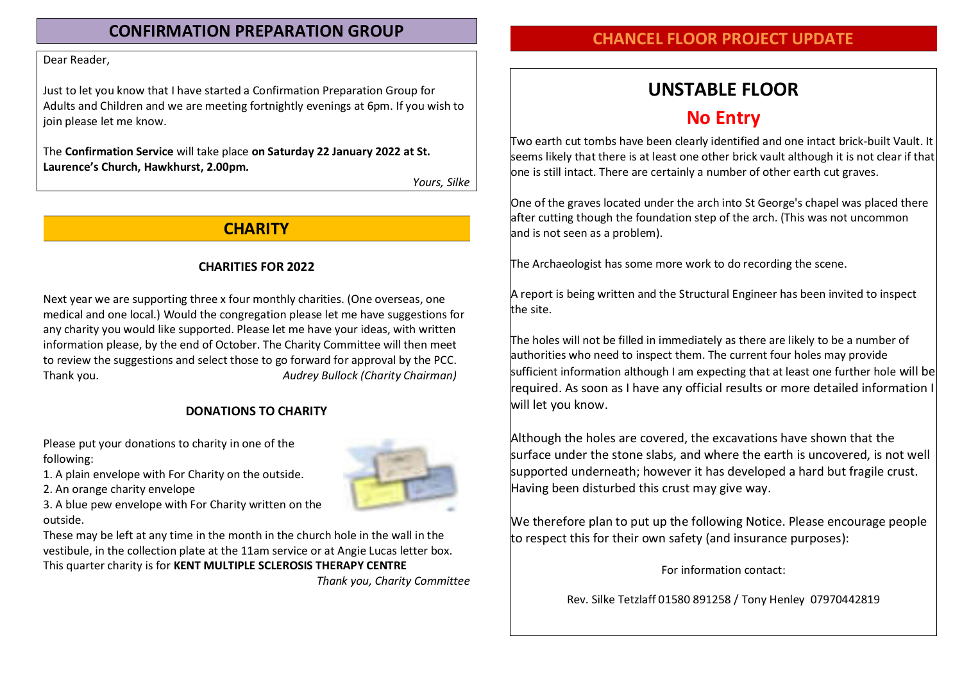### CONFIRMATION PREPARATION GROUP

### Dear Reader,

Just to let you know that I have started a Confirmation Preparation Group for Adults and Children and we are meeting fortnightly evenings at 6pm. If you wish to join please let me know.

The Confirmation Service will take place on Saturday 22 January 2022 at St. Laurence's Church. Hawkhurst. 2.00pm.

Yours, Silke

# **CHARITY**

### CHARITIES FOR 2022

Next year we are supporting three x four monthly charities. (One overseas, one medical and one local.) Would the congregation please let me have suggestions for any charity you would like supported. Please let me have your ideas, with written information please, by the end of October. The Charity Committee will then meet to review the suggestions and select those to go forward for approval by the PCC. Thank you. Thank you. Thank you. Audrey Bullock (Charity Chairman)

### DONATIONS TO CHARITY

Please put your donations to charity in one of the following:

- 1. A plain envelope with For Charity on the outside.
- 2. An orange charity envelope

3. A blue pew envelope with For Charity written on the outside.

These may be left at any time in the month in the church hole in the wall in the vestibule, in the collection plate at the 11am service or at Angie Lucas letter box. This quarter charity is for KENT MULTIPLE SCLEROSIS THERAPY CENTRE

Thank you, Charity Committee

# CHANCEL FLOOR PROJECT UPDATE

# UNSTABLE FLOOR

# No Entry

Two earth cut tombs have been clearly identified and one intact brick-built Vault. It seems likely that there is at least one other brick vault although it is not clear if that one is still intact. There are certainly a number of other earth cut graves.

One of the graves located under the arch into St George's chapel was placed there after cutting though the foundation step of the arch. (This was not uncommon and is not seen as a problem).

The Archaeologist has some more work to do recording the scene.

A report is being written and the Structural Engineer has been invited to inspect the site.

The holes will not be filled in immediately as there are likely to be a number of authorities who need to inspect them. The current four holes may provide sufficient information although I am expecting that at least one further hole will be required. As soon as I have any official results or more detailed information I will let you know.

Although the holes are covered, the excavations have shown that the surface under the stone slabs, and where the earth is uncovered, is not well supported underneath; however it has developed a hard but fragile crust. Having been disturbed this crust may give way.

We therefore plan to put up the following Notice. Please encourage people to respect this for their own safety (and insurance purposes):

For information contact:

Rev. Silke Tetzlaff 01580 891258 / Tony Henley 07970442819